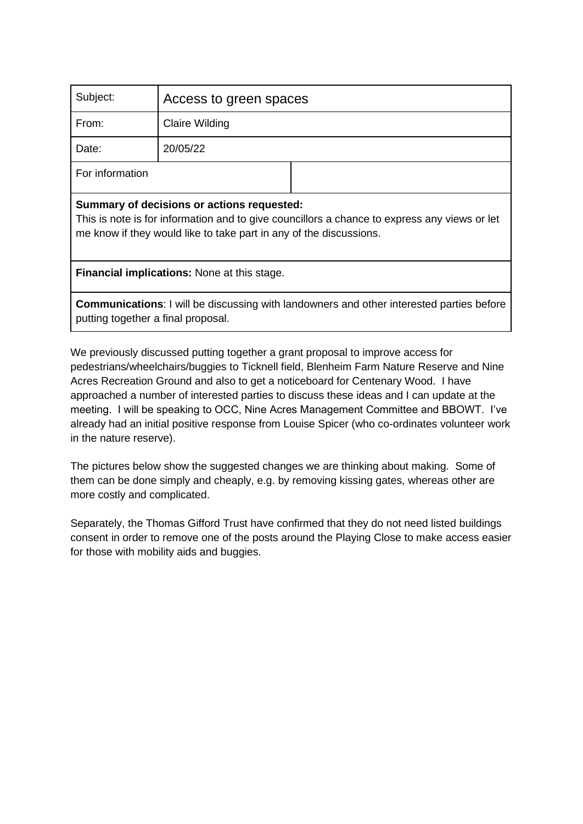| Subject:                                                                                                                                                                                                         | Access to green spaces |  |
|------------------------------------------------------------------------------------------------------------------------------------------------------------------------------------------------------------------|------------------------|--|
| From:                                                                                                                                                                                                            | <b>Claire Wilding</b>  |  |
| Date:                                                                                                                                                                                                            | 20/05/22               |  |
| For information                                                                                                                                                                                                  |                        |  |
| Summary of decisions or actions requested:<br>This is note is for information and to give councillors a chance to express any views or let<br>me know if they would like to take part in any of the discussions. |                        |  |
| <b>Financial implications:</b> None at this stage.                                                                                                                                                               |                        |  |

**Communications**: I will be discussing with landowners and other interested parties before putting together a final proposal.

We previously discussed putting together a grant proposal to improve access for pedestrians/wheelchairs/buggies to Ticknell field, Blenheim Farm Nature Reserve and Nine Acres Recreation Ground and also to get a noticeboard for Centenary Wood. I have approached a number of interested parties to discuss these ideas and I can update at the meeting. I will be speaking to OCC, Nine Acres Management Committee and BBOWT. I've already had an initial positive response from Louise Spicer (who co-ordinates volunteer work in the nature reserve).

The pictures below show the suggested changes we are thinking about making. Some of them can be done simply and cheaply, e.g. by removing kissing gates, whereas other are more costly and complicated.

Separately, the Thomas Gifford Trust have confirmed that they do not need listed buildings consent in order to remove one of the posts around the Playing Close to make access easier for those with mobility aids and buggies.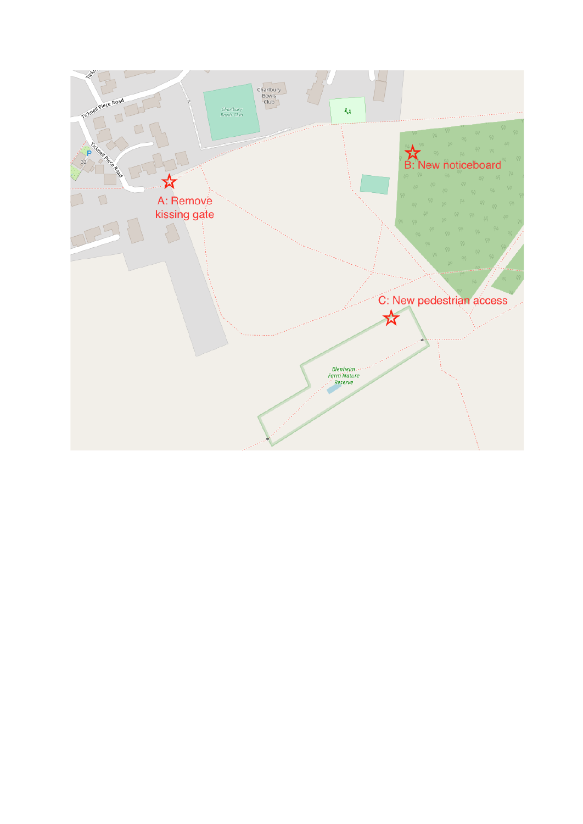